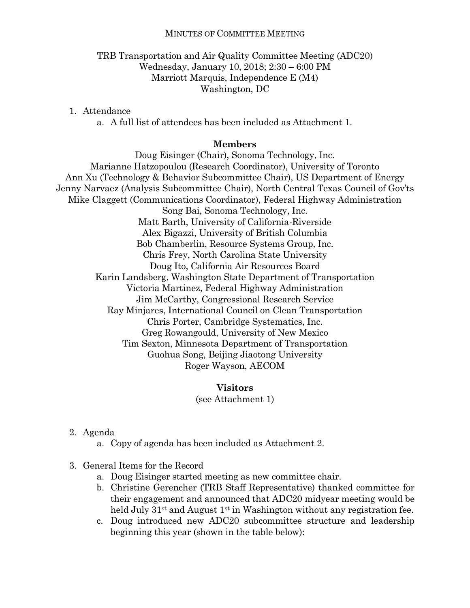#### MINUTES OF COMMITTEE MEETING

### TRB Transportation and Air Quality Committee Meeting (ADC20) Wednesday, January 10, 2018; 2:30 – 6:00 PM Marriott Marquis, Independence E (M4) Washington, DC

1. Attendance

a. A full list of attendees has been included as Attachment 1.

#### **Members**

Doug Eisinger (Chair), Sonoma Technology, Inc. Marianne Hatzopoulou (Research Coordinator), University of Toronto Ann Xu (Technology & Behavior Subcommittee Chair), US Department of Energy Jenny Narvaez (Analysis Subcommittee Chair), North Central Texas Council of Gov'ts Mike Claggett (Communications Coordinator), Federal Highway Administration Song Bai, Sonoma Technology, Inc. Matt Barth, University of California-Riverside Alex Bigazzi, University of British Columbia Bob Chamberlin, Resource Systems Group, Inc. Chris Frey, North Carolina State University Doug Ito, California Air Resources Board Karin Landsberg, Washington State Department of Transportation Victoria Martinez, Federal Highway Administration Jim McCarthy, Congressional Research Service Ray Minjares, International Council on Clean Transportation Chris Porter, Cambridge Systematics, Inc. Greg Rowangould, University of New Mexico Tim Sexton, Minnesota Department of Transportation Guohua Song, Beijing Jiaotong University Roger Wayson, AECOM

### **Visitors**

(see Attachment 1)

- 2. Agenda
	- a. Copy of agenda has been included as Attachment 2.
- 3. General Items for the Record
	- a. Doug Eisinger started meeting as new committee chair.
	- b. Christine Gerencher (TRB Staff Representative) thanked committee for their engagement and announced that ADC20 midyear meeting would be held July  $31<sup>st</sup>$  and August  $1<sup>st</sup>$  in Washington without any registration fee.
	- c. Doug introduced new ADC20 subcommittee structure and leadership beginning this year (shown in the table below):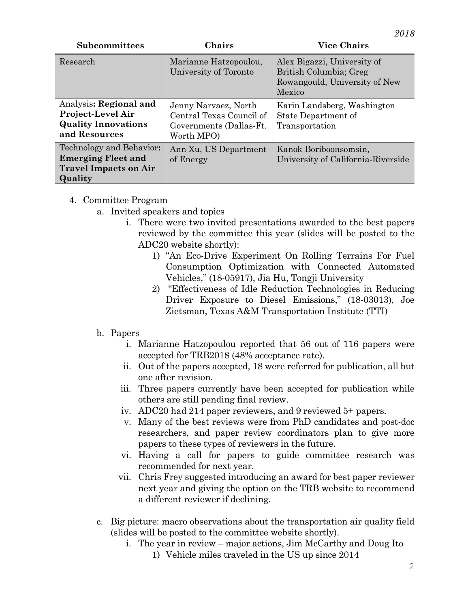| Subcommittees                                                                                    | Chairs                                                                                    | <b>Vice Chairs</b>                                                                               |
|--------------------------------------------------------------------------------------------------|-------------------------------------------------------------------------------------------|--------------------------------------------------------------------------------------------------|
| Research                                                                                         | Marianne Hatzopoulou,<br>University of Toronto                                            | Alex Bigazzi, University of<br>British Columbia; Greg<br>Rowangould, University of New<br>Mexico |
| Analysis: Regional and<br>Project-Level Air<br><b>Quality Innovations</b><br>and Resources       | Jenny Narvaez, North<br>Central Texas Council of<br>Governments (Dallas-Ft.<br>Worth MPO) | Karin Landsberg, Washington<br>State Department of<br>Transportation                             |
| Technology and Behavior:<br><b>Emerging Fleet and</b><br><b>Travel Impacts on Air</b><br>Quality | Ann Xu, US Department<br>of Energy                                                        | Kanok Boriboonsomsin,<br>University of California-Riverside                                      |

- 4. Committee Program
	- a. Invited speakers and topics
		- i. There were two invited presentations awarded to the best papers reviewed by the committee this year (slides will be posted to the ADC20 website shortly):
			- 1) "An Eco-Drive Experiment On Rolling Terrains For Fuel Consumption Optimization with Connected Automated Vehicles," (18-05917), Jia Hu, Tongji University
			- 2) "Effectiveness of Idle Reduction Technologies in Reducing Driver Exposure to Diesel Emissions," (18-03013), Joe Zietsman, Texas A&M Transportation Institute (TTI)

## b. Papers

- i. Marianne Hatzopoulou reported that 56 out of 116 papers were accepted for TRB2018 (48% acceptance rate).
- ii. Out of the papers accepted, 18 were referred for publication, all but one after revision.
- iii. Three papers currently have been accepted for publication while others are still pending final review.
- iv. ADC20 had 214 paper reviewers, and 9 reviewed 5+ papers.
- v. Many of the best reviews were from PhD candidates and post-doc researchers, and paper review coordinators plan to give more papers to these types of reviewers in the future.
- vi. Having a call for papers to guide committee research was recommended for next year.
- vii. Chris Frey suggested introducing an award for best paper reviewer next year and giving the option on the TRB website to recommend a different reviewer if declining.
- c. Big picture: macro observations about the transportation air quality field (slides will be posted to the committee website shortly).
	- i. The year in review major actions, Jim McCarthy and Doug Ito
		- 1) Vehicle miles traveled in the US up since 2014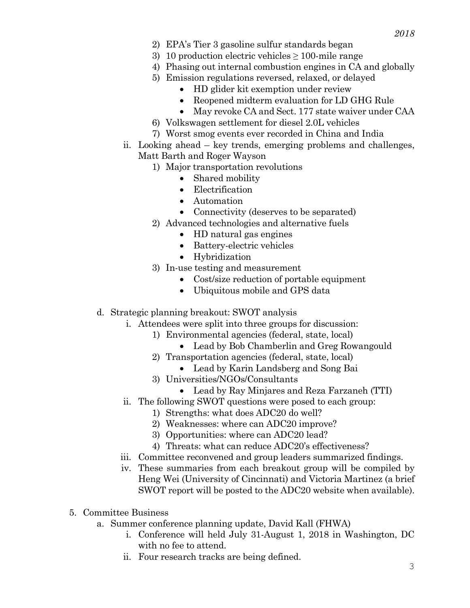- 2) EPA's Tier 3 gasoline sulfur standards began
- 3) 10 production electric vehicles  $\geq$  100-mile range
- 4) Phasing out internal combustion engines in CA and globally
- 5) Emission regulations reversed, relaxed, or delayed
	- HD glider kit exemption under review
	- Reopened midterm evaluation for LD GHG Rule
	- May revoke CA and Sect. 177 state waiver under CAA
- 6) Volkswagen settlement for diesel 2.0L vehicles
- 7) Worst smog events ever recorded in China and India
- ii. Looking ahead key trends, emerging problems and challenges, Matt Barth and Roger Wayson
	- 1) Major transportation revolutions
		- Shared mobility
		- Electrification
		- Automation
		- Connectivity (deserves to be separated)
	- 2) Advanced technologies and alternative fuels
		- HD natural gas engines
		- Battery-electric vehicles
		- Hybridization
	- 3) In-use testing and measurement
		- Cost/size reduction of portable equipment
		- Ubiquitous mobile and GPS data
- d. Strategic planning breakout: SWOT analysis
	- i. Attendees were split into three groups for discussion:
		- 1) Environmental agencies (federal, state, local)
			- Lead by Bob Chamberlin and Greg Rowangould
		- 2) Transportation agencies (federal, state, local)
			- Lead by Karin Landsberg and Song Bai
		- 3) Universities/NGOs/Consultants
		- Lead by Ray Minjares and Reza Farzaneh (TTI)
	- ii. The following SWOT questions were posed to each group:
		- 1) Strengths: what does ADC20 do well?
		- 2) Weaknesses: where can ADC20 improve?
		- 3) Opportunities: where can ADC20 lead?
		- 4) Threats: what can reduce ADC20's effectiveness?
	- iii. Committee reconvened and group leaders summarized findings.
	- iv. These summaries from each breakout group will be compiled by Heng Wei (University of Cincinnati) and Victoria Martinez (a brief SWOT report will be posted to the ADC20 website when available).
- 5. Committee Business
	- a. Summer conference planning update, David Kall (FHWA)
		- i. Conference will held July 31-August 1, 2018 in Washington, DC with no fee to attend.
		- ii. Four research tracks are being defined.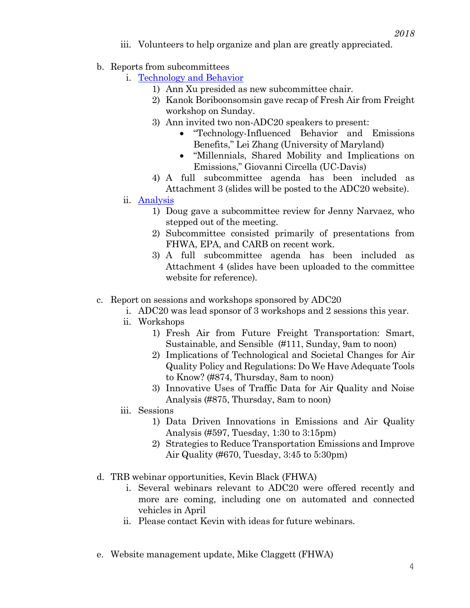- iii. Volunteers to help organize and plan are greatly appreciated.
- b. Reports from subcommittees
	- i. [Technology and Behavior](https://www.trbairquality.org/travelbehaviorpage/)
		- 1) Ann Xu presided as new subcommittee chair.
		- 2) Kanok Boriboonsomsin gave recap of Fresh Air from Freight workshop on Sunday.
		- 3) Ann invited two non-ADC20 speakers to present:
			- "Technology-Influenced Behavior and Emissions Benefits," Lei Zhang (University of Maryland)
			- "Millennials, Shared Mobility and Implications on Emissions," Giovanni Circella (UC-Davis)
		- 4) A full subcommittee agenda has been included as Attachment 3 (slides will be posted to the ADC20 website).
	- ii. [Analysis](https://www.trbairquality.org/analysispage/)
		- 1) Doug gave a subcommittee review for Jenny Narvaez, who stepped out of the meeting.
		- 2) Subcommittee consisted primarily of presentations from FHWA, EPA, and CARB on recent work.
		- 3) A full subcommittee agenda has been included as Attachment 4 (slides have been uploaded to the committee website for reference).
- c. Report on sessions and workshops sponsored by ADC20
	- i. ADC20 was lead sponsor of 3 workshops and 2 sessions this year.
	- ii. Workshops
		- 1) Fresh Air from Future Freight Transportation: Smart, Sustainable, and Sensible (#111, Sunday, 9am to noon)
		- 2) Implications of Technological and Societal Changes for Air Quality Policy and Regulations: Do We Have Adequate Tools to Know? (#874, Thursday, 8am to noon)
		- 3) Innovative Uses of Traffic Data for Air Quality and Noise Analysis (#875, Thursday, 8am to noon)
	- iii. Sessions
		- 1) Data Driven Innovations in Emissions and Air Quality Analysis (#597, Tuesday, 1:30 to 3:15pm)
		- 2) Strategies to Reduce Transportation Emissions and Improve Air Quality (#670, Tuesday, 3:45 to 5:30pm)
- d. TRB webinar opportunities, Kevin Black (FHWA)
	- i. Several webinars relevant to ADC20 were offered recently and more are coming, including one on automated and connected vehicles in April
	- ii. Please contact Kevin with ideas for future webinars.
- e. Website management update, Mike Claggett (FHWA)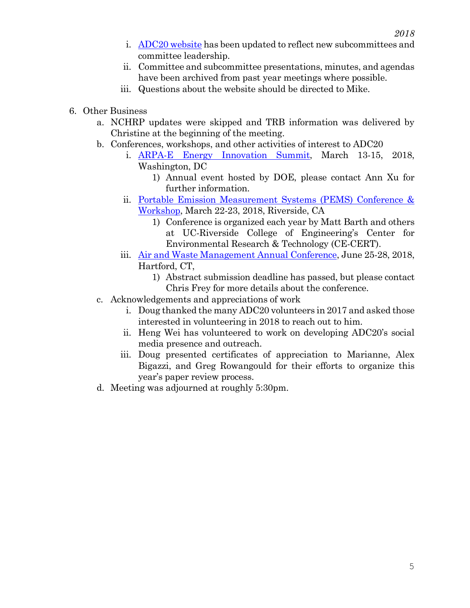- i. [ADC20 website](https://www.trbairquality.org/) has been updated to reflect new subcommittees and committee leadership.
- ii. Committee and subcommittee presentations, minutes, and agendas have been archived from past year meetings where possible.
- iii. Questions about the website should be directed to Mike.
- 6. Other Business
	- a. NCHRP updates were skipped and TRB information was delivered by Christine at the beginning of the meeting.
	- b. Conferences, workshops, and other activities of interest to ADC20
		- i. [ARPA-E Energy Innovation Summit,](http://www.arpae-summit.com/) March 13-15, 2018, Washington, DC
			- 1) Annual event hosted by DOE, please contact Ann Xu for further information.
		- ii. [Portable Emission Measurement Systems \(PEMS\) Conference &](http://www.cert.ucr.edu/events/pems/)  [Workshop,](http://www.cert.ucr.edu/events/pems/) March 22-23, 2018, Riverside, CA
			- 1) Conference is organized each year by Matt Barth and others at UC-Riverside College of Engineering's Center for Environmental Research & Technology (CE-CERT).
		- iii. [Air and Waste Management Annual Conference,](https://www.awma.org/ace2018) June 25-28, 2018, Hartford, CT,
			- 1) Abstract submission deadline has passed, but please contact Chris Frey for more details about the conference.
	- c. Acknowledgements and appreciations of work
		- i. Doug thanked the many ADC20 volunteers in 2017 and asked those interested in volunteering in 2018 to reach out to him.
		- ii. Heng Wei has volunteered to work on developing ADC20's social media presence and outreach.
		- iii. Doug presented certificates of appreciation to Marianne, Alex Bigazzi, and Greg Rowangould for their efforts to organize this year's paper review process.
	- d. Meeting was adjourned at roughly 5:30pm.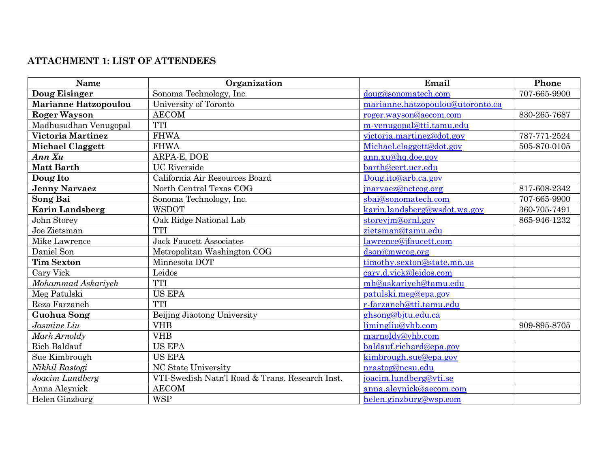## **ATTACHMENT 1: LIST OF ATTENDEES**

| Name                     | Organization                                    | Email                            | Phone        |
|--------------------------|-------------------------------------------------|----------------------------------|--------------|
| <b>Doug Eisinger</b>     | Sonoma Technology, Inc.                         | doug@sonomatech.com              | 707-665-9900 |
| Marianne Hatzopoulou     | University of Toronto                           | marianne.hatzopoulou@utoronto.ca |              |
| <b>Roger Wayson</b>      | <b>AECOM</b>                                    | roger.wayson@aecom.com           | 830-265-7687 |
| Madhusudhan Venugopal    | <b>TTI</b>                                      | m-venugopal@tti.tamu.edu         |              |
| <b>Victoria Martinez</b> | <b>FHWA</b>                                     | victoria.martinez@dot.gov        | 787-771-2524 |
| <b>Michael Claggett</b>  | <b>FHWA</b>                                     | Michael.claggett@dot.gov         | 505-870-0105 |
| Ann Xu                   | ARPA-E, DOE                                     | ann.xu@hq.doe.gov                |              |
| <b>Matt Barth</b>        | <b>UC</b> Riverside                             | barth@cert.ucr.edu               |              |
| Doug Ito                 | California Air Resources Board                  | Doug.ito@arb.ca.gov              |              |
| <b>Jenny Narvaez</b>     | North Central Texas COG                         | jnarvaez@nctcog.org              | 817-608-2342 |
| Song Bai                 | Sonoma Technology, Inc.                         | sbai@sonomatech.com              | 707-665-9900 |
| <b>Karin Landsberg</b>   | <b>WSDOT</b>                                    | karin.landsberg@wsdot.wa.gov     | 360-705-7491 |
| John Storey              | Oak Ridge National Lab                          | storeyjm@ornl.gov                | 865-946-1232 |
| Joe Zietsman             | <b>TTI</b>                                      | zietsman@tamu.edu                |              |
| Mike Lawrence            | <b>Jack Faucett Associates</b>                  | lawrence@jfaucett.com            |              |
| Daniel Son               | Metropolitan Washington COG                     | dson@mwcog.org                   |              |
| <b>Tim Sexton</b>        | Minnesota DOT                                   | timothy.sexton@state.mn.us       |              |
| Cary Vick                | Leidos                                          | cary.d.vick@leidos.com           |              |
| Mohammad Askariyeh       | <b>TTI</b>                                      | mh@askariyeh@tamu.edu            |              |
| Meg Patulski             | <b>US EPA</b>                                   | patulski.meg@epa.gov             |              |
| Reza Farzaneh            | <b>TTI</b>                                      | r-farzaneh@tti.tamu.edu          |              |
| <b>Guohua Song</b>       | Beijing Jiaotong University                     | ghsong@bjtu.edu.ca               |              |
| Jasmine Liu              | <b>VHB</b>                                      | limingliu@vhb.com                | 909-895-8705 |
| Mark Arnoldy             | <b>VHB</b>                                      | marnoldy@vhb.com                 |              |
| Rich Baldauf             | <b>US EPA</b>                                   | baldauf.richard@epa.gov          |              |
| Sue Kimbrough            | <b>US EPA</b>                                   | kimbrough.sue@epa.gov            |              |
| Nikhil Rastogi           | NC State University                             | nrastog@ncsu.edu                 |              |
| Joacim Lundberg          | VTI-Swedish Natn'l Road & Trans. Research Inst. | joacim.lundberg@vti.se           |              |
| Anna Aleynick            | <b>AECOM</b>                                    | anna.aleynick@aecom.com          |              |
| Helen Ginzburg           | <b>WSP</b>                                      | helen.ginzburg@wsp.com           |              |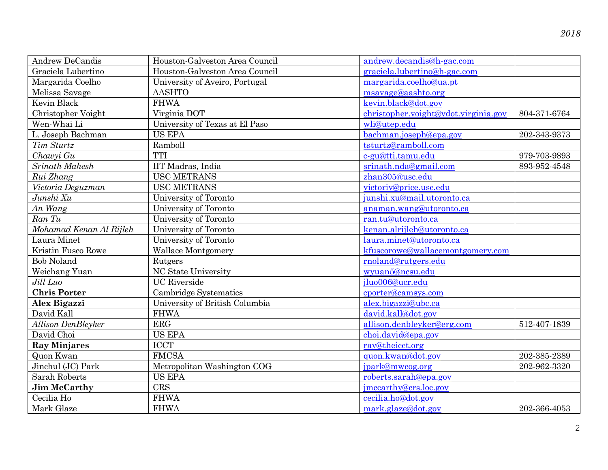| Andrew DeCandis           | Houston-Galveston Area Council | andrew.decandis@h-gac.com            |              |
|---------------------------|--------------------------------|--------------------------------------|--------------|
| Graciela Lubertino        | Houston-Galveston Area Council | graciela.lubertino@h-gac.com         |              |
| Margarida Coelho          | University of Aveiro, Portugal | margarida.coelho@ua.pt               |              |
| Melissa Savage            | <b>AASHTO</b>                  | msavage@aashto.org                   |              |
| Kevin Black               | <b>FHWA</b>                    | kevin.black@dot.gov                  |              |
| Christopher Voight        | Virginia DOT                   | christopher.voight@vdot.virginia.gov | 804-371-6764 |
| Wen-Whai Li               | University of Texas at El Paso | wli@utep.edu                         |              |
| L. Joseph Bachman         | <b>US EPA</b>                  | bachman.joseph@epa.gov               | 202-343-9373 |
| Tim Sturtz                | Ramboll                        | tsturtz@ramboll.com                  |              |
| Chawyi Gu                 | <b>TTI</b>                     | c-gu@tti.tamu.edu                    | 979-703-9893 |
| Srinath Mahesh            | IIT Madras, India              | srinath.nda@gmail.com                | 893-952-4548 |
| Rui Zhang                 | <b>USC METRANS</b>             | zhan305@usc.edu                      |              |
| Victoria Deguzman         | <b>USC METRANS</b>             | victoriv@price.usc.edu               |              |
| Junshi Xu                 | University of Toronto          | junshi.xu@mail.utoronto.ca           |              |
| An Wang                   | University of Toronto          | anaman.wang@utoronto.ca              |              |
| Ran Tu                    | University of Toronto          | ran.tu@utoronto.ca                   |              |
| Mohamad Kenan Al Rijleh   | University of Toronto          | kenan.alrijleh@utoronto.ca           |              |
| Laura Minet               | University of Toronto          | laura.minet@utoronto.ca              |              |
| Kristin Fusco Rowe        | <b>Wallace Montgomery</b>      | kfuscorowe@wallacemontgomery.com     |              |
| <b>Bob Noland</b>         | Rutgers                        | rnoland@rutgers.edu                  |              |
| Weichang Yuan             | NC State University            | wyuan5@ncsu.edu                      |              |
| Jill Luo                  | <b>UC</b> Riverside            | jluo006@ucr.edu                      |              |
| <b>Chris Porter</b>       | Cambridge Systematics          | cporter@camsys.com                   |              |
| Alex Bigazzi              | University of British Columbia | alex.bigazzi@ubc.ca                  |              |
| David Kall                | <b>FHWA</b>                    | david.kall@dot.gov                   |              |
| <b>Allison DenBleyker</b> | ERG                            | allison.denbleyker@erg.com           | 512-407-1839 |
| David Choi                | <b>US EPA</b>                  | choi.david@epa.gov                   |              |
| <b>Ray Minjares</b>       | <b>ICCT</b>                    | ray@theicct.org                      |              |
| Quon Kwan                 | <b>FMCSA</b>                   | quon.kwan@dot.gov                    | 202-385-2389 |
| Jinchul (JC) Park         | Metropolitan Washington COG    | jpark@mwcog.org                      | 202-962-3320 |
| Sarah Roberts             | <b>US EPA</b>                  | roberts.sarah@epa.gov                |              |
| <b>Jim McCarthy</b>       | <b>CRS</b>                     | jmccarthy@crs.loc.gov                |              |
| Cecilia Ho                | <b>FHWA</b>                    | cecilia.ho@dot.gov                   |              |
| Mark Glaze                | <b>FHWA</b>                    | mark.glaze@dot.gov                   | 202-366-4053 |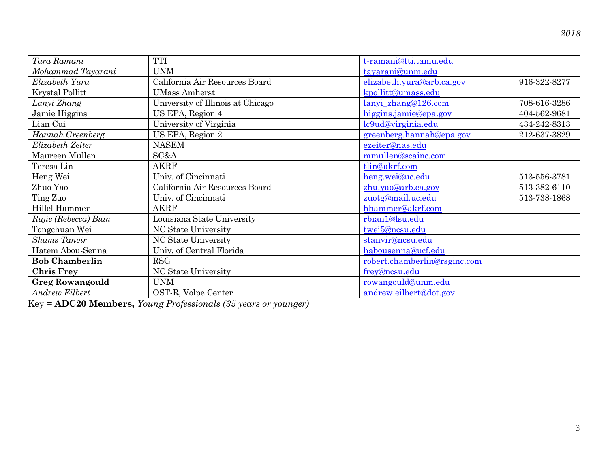| Tara Ramani            | TTI                               | t-ramani@tti.tamu.edu        |              |
|------------------------|-----------------------------------|------------------------------|--------------|
| Mohammad Tayarani      | <b>UNM</b>                        | tayarani@unm.edu             |              |
| Elizabeth Yura         | California Air Resources Board    | elizabeth.yura@arb.ca.gov    | 916-322-8277 |
| <b>Krystal Pollitt</b> | <b>UMass Amherst</b>              | kpollitt@umass.edu           |              |
| Lanyi Zhang            | University of Illinois at Chicago | lanyi zhang@126.com          | 708-616-3286 |
| Jamie Higgins          | US EPA, Region 4                  | higgins.jamie@epa.gov        | 404-562-9681 |
| Lian Cui               | University of Virginia            | lc9ud@virginia.edu           | 434-242-8313 |
| Hannah Greenberg       | US EPA, Region 2                  | greenberg.hannah@epa.gov     | 212-637-3829 |
| Elizabeth Zeiter       | <b>NASEM</b>                      | ezeiter@nas.edu              |              |
| Maureen Mullen         | SC&A                              | mmullen@scainc.com           |              |
| Teresa Lin             | <b>AKRF</b>                       | tlin@akrf.com                |              |
| Heng Wei               | Univ. of Cincinnati               | heng.wei@uc.edu              | 513-556-3781 |
| Zhuo Yao               | California Air Resources Board    | zhu.yao@arb.ca.gov           | 513-382-6110 |
| Ting Zuo               | Univ. of Cincinnati               | zuotg@mail.uc.edu            | 513-738-1868 |
| Hillel Hammer          | <b>AKRF</b>                       | hhammer@akrf.com             |              |
| Rujie (Rebecca) Bian   | Louisiana State University        | rbian1@lsu.edu               |              |
| Tongchuan Wei          | NC State University               | twei5@ncsu.edu               |              |
| <b>Shams</b> Tanvir    | NC State University               | stanvir@ncsu.edu             |              |
| Hatem Abou-Senna       | Univ. of Central Florida          | habousenna@ucf.edu           |              |
| <b>Bob Chamberlin</b>  | RSG                               | robert.chamberlin@rsginc.com |              |
| <b>Chris Frey</b>      | NC State University               | frey@ncsu.edu                |              |
| <b>Greg Rowangould</b> | <b>UNM</b>                        | rowangould@unm.edu           |              |
| Andrew Eilbert         | OST-R, Volpe Center               | andrew.eilbert@dot.gov       |              |

Key = **ADC20 Members,** *Young Professionals (35 years or younger)*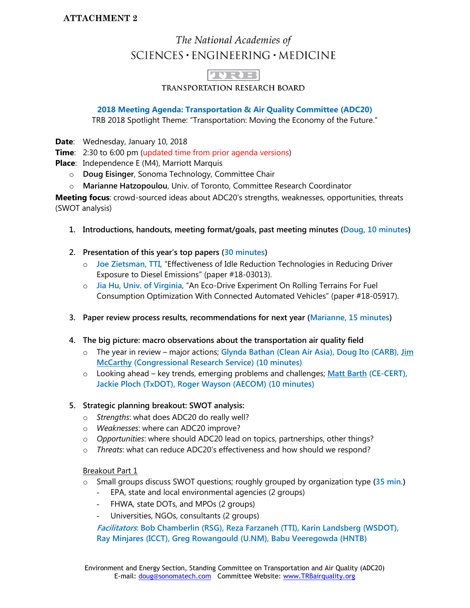### **ATTACHMENT 2**

# The National Academies of SCIENCES · ENGINEERING · MEDICINE

 $1137777$ 

TRANSPORTATION RESEARCH BOARD

#### **2018 Meeting Agenda: Transportation & Air Quality Committee (ADC20)**

TRB 2018 Spotlight Theme: "Transportation: Moving the Economy of the Future."

**Date**: Wednesday, January 10, 2018

**Time**: 2:30 to 6:00 pm (updated time from prior agenda versions)

**Place**: Independence E (M4), Marriott Marquis

- o **Doug Eisinger**, Sonoma Technology, Committee Chair
- o **Marianne Hatzopoulou**, Univ. of Toronto, Committee Research Coordinator

**Meeting focus**: crowd-sourced ideas about ADC20's strengths, weaknesses, opportunities, threats (SWOT analysis)

- **1. Introductions, handouts, meeting format/goals, past meeting minutes (Doug, 10 minutes)**
- **2. Presentation of this year's top papers (30 minutes)**
	- o **Joe Zietsman, TTI,** "Effectiveness of Idle Reduction Technologies in Reducing Driver Exposure to Diesel Emissions" (paper #18-03013).
	- o **Jia Hu, Univ. of Virginia**, "An Eco-Drive Experiment On Rolling Terrains For Fuel Consumption Optimization With Connected Automated Vehicles" (paper #18-05917).
- **3. Paper review process results, recommendations for next year (Marianne, 15 minutes)**
- **4. The big picture: macro observations about the transportation air quality field**
	- o The year in review major actions; **Glynda Bathan (Clean Air Asia), Doug Ito (CARB), Jim McCarthy (Congressional Research Service) (10 minutes)**
	- o Looking ahead key trends, emerging problems and challenges; **Matt Barth (CE-CERT), Jackie Ploch (TxDOT), Roger Wayson (AECOM) (10 minutes)**

#### **5. Strategic planning breakout: SWOT analysis:**

- o *Strengths*: what does ADC20 do really well?
- o *Weaknesses*: where can ADC20 improve?
- o *Opportunities*: where should ADC20 lead on topics, partnerships, other things?
- o *Threats*: what can reduce ADC20's effectiveness and how should we respond?

Breakout Part 1

- o Small groups discuss SWOT questions; roughly grouped by organization type **(35 min.)**
	- EPA, state and local environmental agencies (2 groups)
	- FHWA, state DOTs, and MPOs (2 groups)
	- Universities, NGOs, consultants (2 groups)

**Facilitators: Bob Chamberlin (RSG), Reza Farzaneh (TTI), Karin Landsberg (WSDOT), Ray Minjares (ICCT), Greg Rowangould (U.NM), Babu Veeregowda (HNTB)**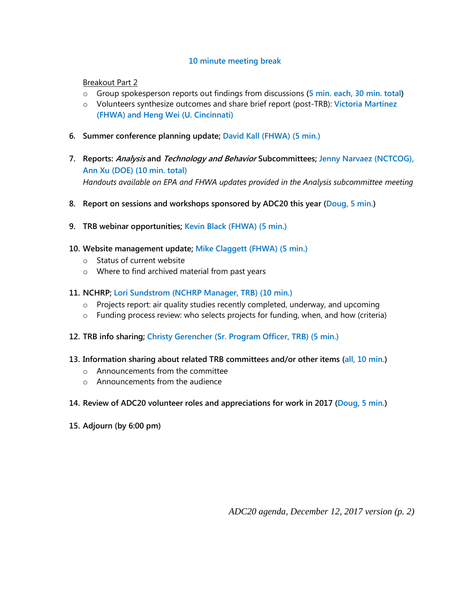#### **10 minute meeting break**

Breakout Part 2

- o Group spokesperson reports out findings from discussions **(5 min. each, 30 min. total)**
- o Volunteers synthesize outcomes and share brief report (post-TRB): **Victoria Martinez (FHWA) and Heng Wei (U. Cincinnati)**
- **6. Summer conference planning update; David Kall (FHWA) (5 min.)**
- **7. Reports: Analysis and Technology and Behavior Subcommittees; Jenny Narvaez (NCTCOG), Ann Xu (DOE) (10 min. total)** *Handouts available on EPA and FHWA updates provided in the Analysis subcommittee meeting*
- **8. Report on sessions and workshops sponsored by ADC20 this year (Doug, 5 min.)**
- **9. TRB webinar opportunities; Kevin Black (FHWA) (5 min.)**
- **10. Website management update; Mike Claggett (FHWA) (5 min.)**
	- o Status of current website
	- o Where to find archived material from past years
- **11. NCHRP; Lori Sundstrom (NCHRP Manager, TRB) (10 min.)**
	- $\circ$  Projects report: air quality studies recently completed, underway, and upcoming
	- o Funding process review: who selects projects for funding, when, and how (criteria)
- **12. TRB info sharing; Christy Gerencher (Sr. Program Officer, TRB) (5 min.)**
- **13. Information sharing about related TRB committees and/or other items (all, 10 min.)**
	- o Announcements from the committee
	- $\circ$  Announcements from the audience
- **14. Review of ADC20 volunteer roles and appreciations for work in 2017 (Doug, 5 min.)**
- **15. Adjourn (by 6:00 pm)**

*ADC20 agenda, December 12, 2017 version (p. 2)*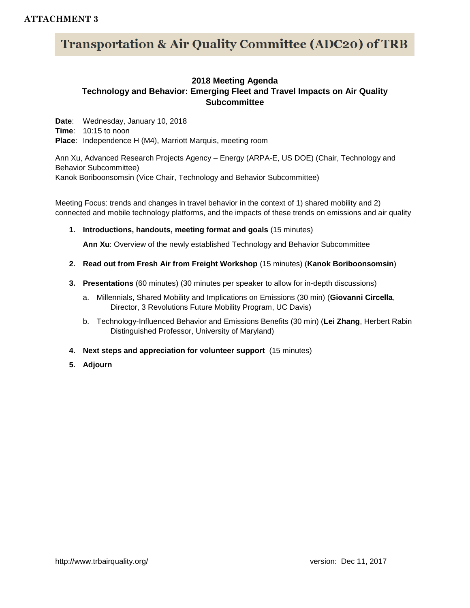#### **ATTACHMENT 3**

# **Transportation & Air Quality Committee (ADC20) of TRB**

#### **2018 Meeting Agenda Technology and Behavior: Emerging Fleet and Travel Impacts on Air Quality Subcommittee**

**Date**: Wednesday, January 10, 2018 **Time**: 10:15 to noon **Place**: Independence H (M4), Marriott Marquis, meeting room

Ann Xu, Advanced Research Projects Agency – Energy (ARPA-E, US DOE) (Chair, Technology and Behavior Subcommittee) Kanok Boriboonsomsin (Vice Chair, Technology and Behavior Subcommittee)

Meeting Focus: trends and changes in travel behavior in the context of 1) shared mobility and 2) connected and mobile technology platforms, and the impacts of these trends on emissions and air quality

**1. Introductions, handouts, meeting format and goals** (15 minutes)

**Ann Xu**: Overview of the newly established Technology and Behavior Subcommittee

- **2. Read out from Fresh Air from Freight Workshop** (15 minutes) (**Kanok Boriboonsomsin**)
- **3. Presentations** (60 minutes) (30 minutes per speaker to allow for in-depth discussions)
	- a. Millennials, Shared Mobility and Implications on Emissions (30 min) (**Giovanni Circella**, Director, 3 Revolutions Future Mobility Program, UC Davis)
	- b. Technology-Influenced Behavior and Emissions Benefits (30 min) (**Lei Zhang**, Herbert Rabin Distinguished Professor, University of Maryland)
- **4. Next steps and appreciation for volunteer support** (15 minutes)
- **5. Adjourn**